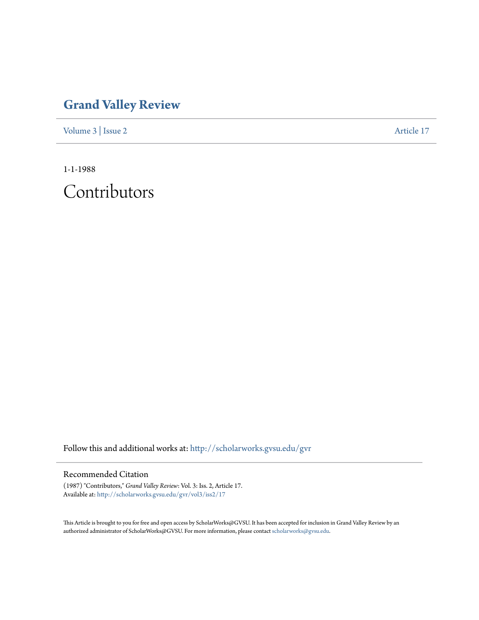## **[Grand Valley Review](http://scholarworks.gvsu.edu/gvr?utm_source=scholarworks.gvsu.edu%2Fgvr%2Fvol3%2Fiss2%2F17&utm_medium=PDF&utm_campaign=PDFCoverPages)**

[Volume 3](http://scholarworks.gvsu.edu/gvr/vol3?utm_source=scholarworks.gvsu.edu%2Fgvr%2Fvol3%2Fiss2%2F17&utm_medium=PDF&utm_campaign=PDFCoverPages) | [Issue 2](http://scholarworks.gvsu.edu/gvr/vol3/iss2?utm_source=scholarworks.gvsu.edu%2Fgvr%2Fvol3%2Fiss2%2F17&utm_medium=PDF&utm_campaign=PDFCoverPages) [Article 17](http://scholarworks.gvsu.edu/gvr/vol3/iss2/17?utm_source=scholarworks.gvsu.edu%2Fgvr%2Fvol3%2Fiss2%2F17&utm_medium=PDF&utm_campaign=PDFCoverPages)

1-1-1988

Contributors

Follow this and additional works at: [http://scholarworks.gvsu.edu/gvr](http://scholarworks.gvsu.edu/gvr?utm_source=scholarworks.gvsu.edu%2Fgvr%2Fvol3%2Fiss2%2F17&utm_medium=PDF&utm_campaign=PDFCoverPages)

## Recommended Citation

(1987) "Contributors," *Grand Valley Review*: Vol. 3: Iss. 2, Article 17. Available at: [http://scholarworks.gvsu.edu/gvr/vol3/iss2/17](http://scholarworks.gvsu.edu/gvr/vol3/iss2/17?utm_source=scholarworks.gvsu.edu%2Fgvr%2Fvol3%2Fiss2%2F17&utm_medium=PDF&utm_campaign=PDFCoverPages)

This Article is brought to you for free and open access by ScholarWorks@GVSU. It has been accepted for inclusion in Grand Valley Review by an authorized administrator of ScholarWorks@GVSU. For more information, please contact [scholarworks@gvsu.edu.](mailto:scholarworks@gvsu.edu)